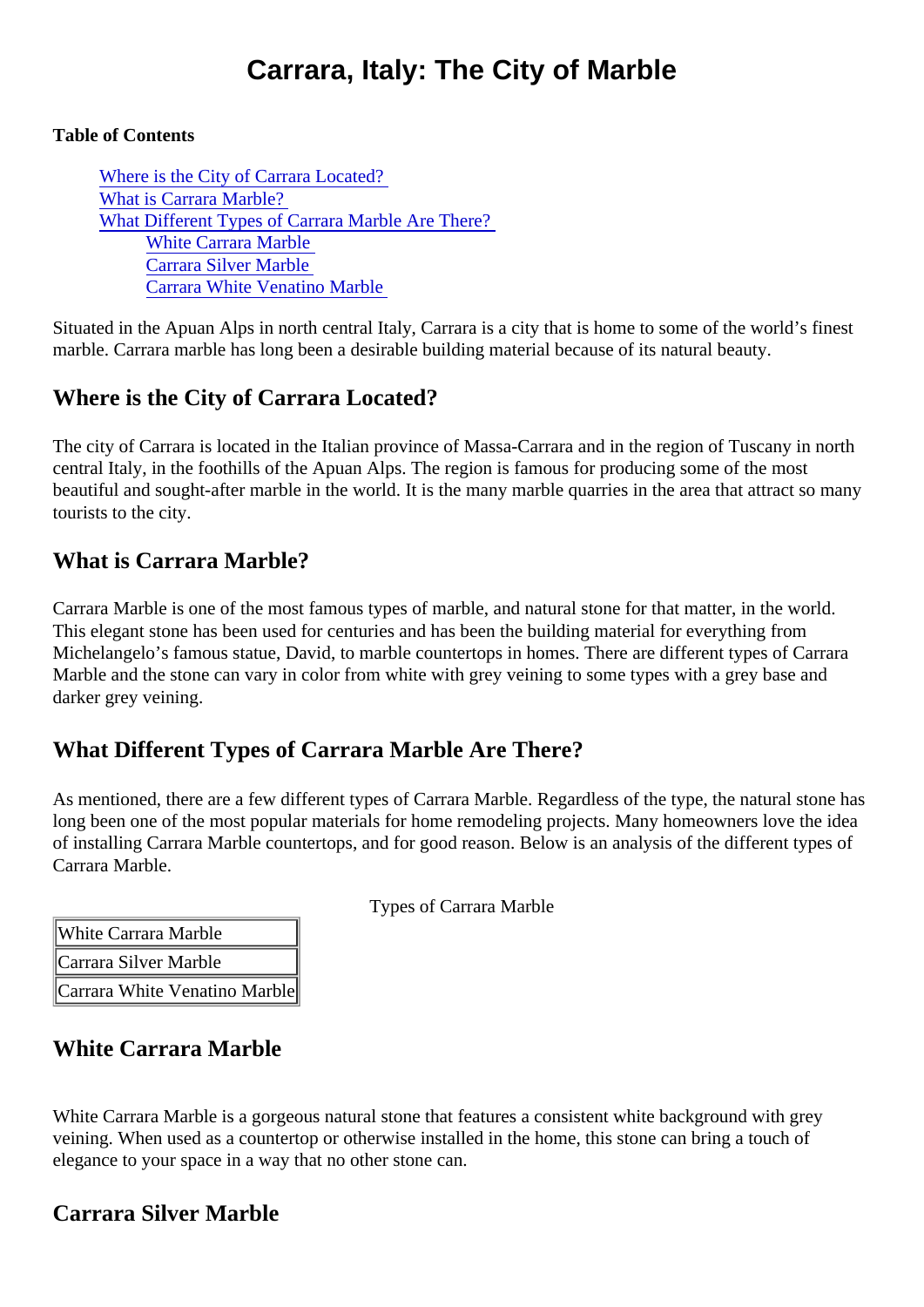# Carrara, Italy: The City of Marble

#### Table of Contents

Where is the City of Carrara Located? What is Carrara Marble? What Different Types of Carrara Marble Are There? White Carrara Marble Carrara Silver Marble [Carrara White Venatino Marb](#page-1-0)le

Situated in the Apuan Alps in north central Italy, Carrara is a city that is home to some of the world's finest marble. Carrara marble has long been a desirable building material because of its natural beauty.

## Where is the City of Carrara Located?

The city of Carrara is located in the Italian province of Massa-Carrara and in the region of Tuscany in north central Italy, in the foothills of the Apuan Alps. The region is famous for producing some of the most beautiful and sought-after marble in the world. It is the many marble quarries in the area that attract so ma tourists to the city.

### What is Carrara Marble?

Carrara Marble is one of the most famous types of marble, and natural stone for that matter, in the world. This elegant stone has been used for centuries and has been the building material for everything from Michelangelo's famous statue, David, to marble countertops in homes. There are different types of Carrara Marble and the stone can vary in color from white with grey veining to some types with a grey base and darker grey veining.

### What Different Types of Carrara Marble Are There?

As mentioned, there are a few different types of Carrara Marble. Regardless of the type, the natural stone long been one of the most popular materials for home remodeling projects. Many homeowners love the idea of installing Carrara Marble countertops, and for good reason. Below is an analysis of the different types of Carrara Marble.

| White Carrara Marble          |  |
|-------------------------------|--|
| Carrara Silver Marble         |  |
| Carrara White Venatino Marble |  |

Types of Carrara Marble

### White Carrara Marble

White Carrara Marble is a gorgeous natural stone that features a consistent white background with grey veining. When used as a countertop or otherwise installed in the home, this stone can bring a touch of elegance to your space in a way that no other stone can.

### Carrara Silver Marble